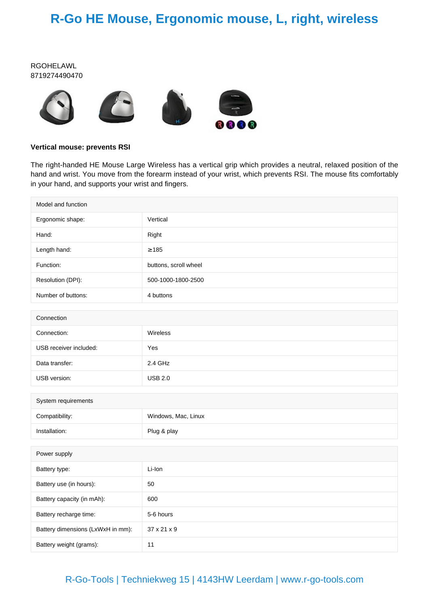## **R-Go HE Mouse, Ergonomic mouse, L, right, wireless**

#### RGOHELAWL 8719274490470



#### **Vertical mouse: prevents RSI**

The right-handed HE Mouse Large Wireless has a vertical grip which provides a neutral, relaxed position of the hand and wrist. You move from the forearm instead of your wrist, which prevents RSI. The mouse fits comfortably in your hand, and supports your wrist and fingers.

| Model and function                |                       |  |
|-----------------------------------|-----------------------|--|
| Ergonomic shape:                  | Vertical              |  |
| Hand:                             | Right                 |  |
| Length hand:                      | $\geq 185$            |  |
| Function:                         | buttons, scroll wheel |  |
| Resolution (DPI):                 | 500-1000-1800-2500    |  |
| Number of buttons:                | 4 buttons             |  |
|                                   |                       |  |
| Connection                        |                       |  |
| Connection:                       | Wireless              |  |
| USB receiver included:            | Yes                   |  |
| Data transfer:                    | 2.4 GHz               |  |
| USB version:                      | <b>USB 2.0</b>        |  |
|                                   |                       |  |
| System requirements               |                       |  |
| Compatibility:                    | Windows, Mac, Linux   |  |
| Installation:                     | Plug & play           |  |
|                                   |                       |  |
| Power supply                      |                       |  |
| Battery type:                     | Li-Ion                |  |
| Battery use (in hours):           | 50                    |  |
| Battery capacity (in mAh):        | 600                   |  |
| Battery recharge time:            | 5-6 hours             |  |
| Battery dimensions (LxWxH in mm): | 37 x 21 x 9           |  |
| Battery weight (grams):           | 11                    |  |

### R-Go-Tools | Techniekweg 15 | 4143HW Leerdam | www.r-go-tools.com